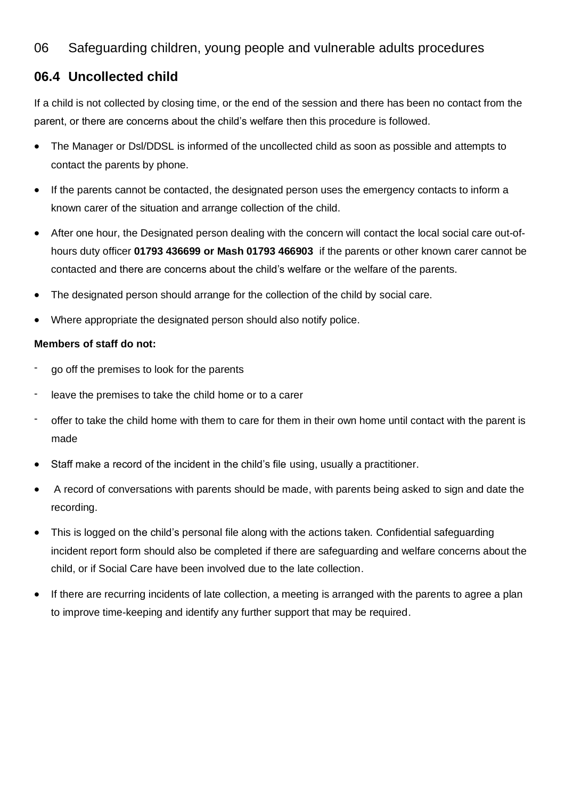## 06 Safeguarding children, young people and vulnerable adults procedures

## **06.4 Uncollected child**

If a child is not collected by closing time, or the end of the session and there has been no contact from the parent, or there are concerns about the child's welfare then this procedure is followed.

- The Manager or Dsl/DDSL is informed of the uncollected child as soon as possible and attempts to contact the parents by phone.
- If the parents cannot be contacted, the designated person uses the emergency contacts to inform a known carer of the situation and arrange collection of the child.
- After one hour, the Designated person dealing with the concern will contact the local social care out-ofhours duty officer **01793 436699 or Mash 01793 466903** if the parents or other known carer cannot be contacted and there are concerns about the child's welfare or the welfare of the parents.
- The designated person should arrange for the collection of the child by social care.
- Where appropriate the designated person should also notify police.

## **Members of staff do not:**

- go off the premises to look for the parents
- leave the premises to take the child home or to a carer
- offer to take the child home with them to care for them in their own home until contact with the parent is made
- Staff make a record of the incident in the child's file using, usually a practitioner.
- A record of conversations with parents should be made, with parents being asked to sign and date the recording.
- This is logged on the child's personal file along with the actions taken. Confidential safeguarding incident report form should also be completed if there are safeguarding and welfare concerns about the child, or if Social Care have been involved due to the late collection.
- If there are recurring incidents of late collection, a meeting is arranged with the parents to agree a plan to improve time-keeping and identify any further support that may be required.